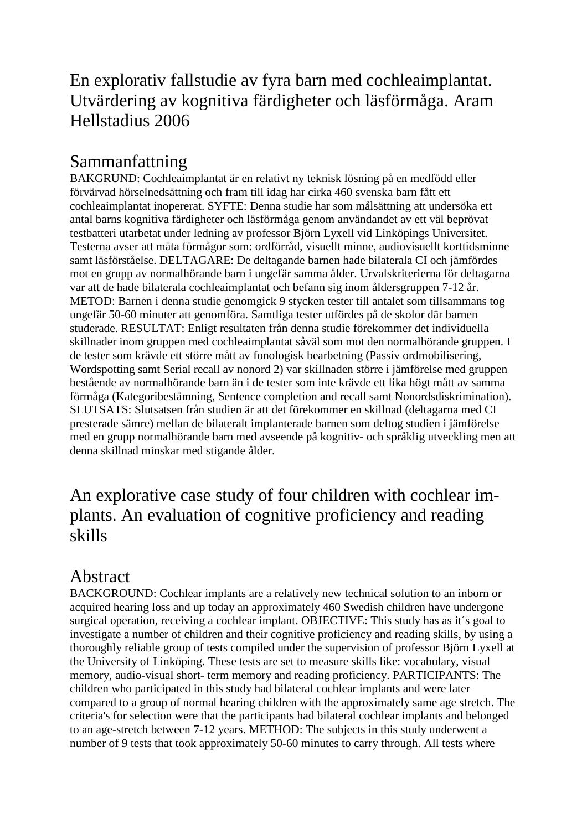## En explorativ fallstudie av fyra barn med cochleaimplantat. Utvärdering av kognitiva färdigheter och läsförmåga. Aram Hellstadius 2006

## Sammanfattning

BAKGRUND: Cochleaimplantat är en relativt ny teknisk lösning på en medfödd eller förvärvad hörselnedsättning och fram till idag har cirka 460 svenska barn fått ett cochleaimplantat inopererat. SYFTE: Denna studie har som målsättning att undersöka ett antal barns kognitiva färdigheter och läsförmåga genom användandet av ett väl beprövat testbatteri utarbetat under ledning av professor Björn Lyxell vid Linköpings Universitet. Testerna avser att mäta förmågor som: ordförråd, visuellt minne, audiovisuellt korttidsminne samt läsförståelse. DELTAGARE: De deltagande barnen hade bilaterala CI och jämfördes mot en grupp av normalhörande barn i ungefär samma ålder. Urvalskriterierna för deltagarna var att de hade bilaterala cochleaimplantat och befann sig inom åldersgruppen 7-12 år. METOD: Barnen i denna studie genomgick 9 stycken tester till antalet som tillsammans tog ungefär 50-60 minuter att genomföra. Samtliga tester utfördes på de skolor där barnen studerade. RESULTAT: Enligt resultaten från denna studie förekommer det individuella skillnader inom gruppen med cochleaimplantat såväl som mot den normalhörande gruppen. I de tester som krävde ett större mått av fonologisk bearbetning (Passiv ordmobilisering, Wordspotting samt Serial recall av nonord 2) var skillnaden större i jämförelse med gruppen bestående av normalhörande barn än i de tester som inte krävde ett lika högt mått av samma förmåga (Kategoribestämning, Sentence completion and recall samt Nonordsdiskrimination). SLUTSATS: Slutsatsen från studien är att det förekommer en skillnad (deltagarna med CI presterade sämre) mellan de bilateralt implanterade barnen som deltog studien i jämförelse med en grupp normalhörande barn med avseende på kognitiv- och språklig utveckling men att denna skillnad minskar med stigande ålder.

## An explorative case study of four children with cochlear implants. An evaluation of cognitive proficiency and reading skills

## Abstract

BACKGROUND: Cochlear implants are a relatively new technical solution to an inborn or acquired hearing loss and up today an approximately 460 Swedish children have undergone surgical operation, receiving a cochlear implant. OBJECTIVE: This study has as it´s goal to investigate a number of children and their cognitive proficiency and reading skills, by using a thoroughly reliable group of tests compiled under the supervision of professor Björn Lyxell at the University of Linköping. These tests are set to measure skills like: vocabulary, visual memory, audio-visual short- term memory and reading proficiency. PARTICIPANTS: The children who participated in this study had bilateral cochlear implants and were later compared to a group of normal hearing children with the approximately same age stretch. The criteria's for selection were that the participants had bilateral cochlear implants and belonged to an age-stretch between 7-12 years. METHOD: The subjects in this study underwent a number of 9 tests that took approximately 50-60 minutes to carry through. All tests where